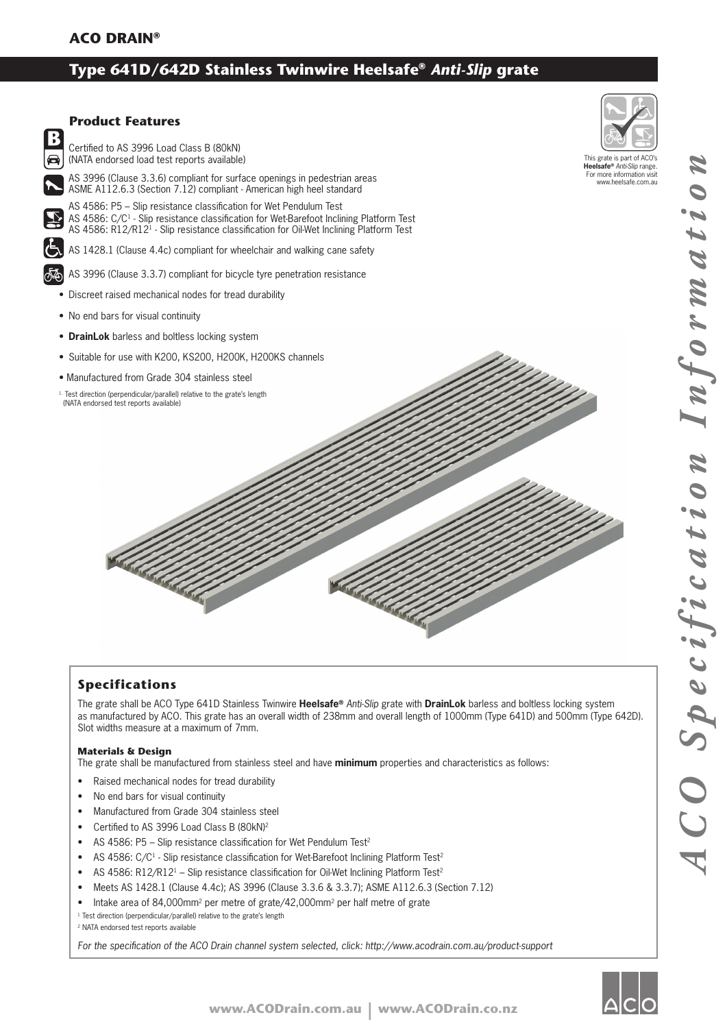# **Type 641D/642D Stainless Twinwire Heelsafe®** *Anti-Slip* **grate**



## **Specifications**

The grate shall be ACO Type 641D Stainless Twinwire **Heelsafe®** *Anti-Slip* grate with **DrainLok** barless and boltless locking system as manufactured by ACO. This grate has an overall width of 238mm and overall length of 1000mm (Type 641D) and 500mm (Type 642D). Slot widths measure at a maximum of 7mm.

#### **Materials & Design**

The grate shall be manufactured from stainless steel and have **minimum** properties and characteristics as follows:

- Raised mechanical nodes for tread durability
- No end bars for visual continuity
- Manufactured from Grade 304 stainless steel
- Certified to AS 3996 Load Class B (80kN)<sup>2</sup>
- AS 4586: P5 Slip resistance classification for Wet Pendulum Test<sup>2</sup>
- AS 4586: C/C<sup>1</sup> Slip resistance classification for Wet-Barefoot Inclining Platform Test<sup>2</sup>
- AS 4586: R12/R12<sup>1</sup> Slip resistance classification for Oil-Wet Inclining Platform Test<sup>2</sup>
- Meets AS 1428.1 (Clause 4.4c); AS 3996 (Clause 3.3.6 & 3.3.7); ASME A112.6.3 (Section 7.12)
- Intake area of 84,000mm<sup>2</sup> per metre of grate/42,000mm<sup>2</sup> per half metre of grate
- <sup>1</sup> Test direction (perpendicular/parallel) relative to the grate's length

2 NATA endorsed test reports available

For the specification of the ACO Drain channel system selected, click: http://www.acodrain.com.au/product-support